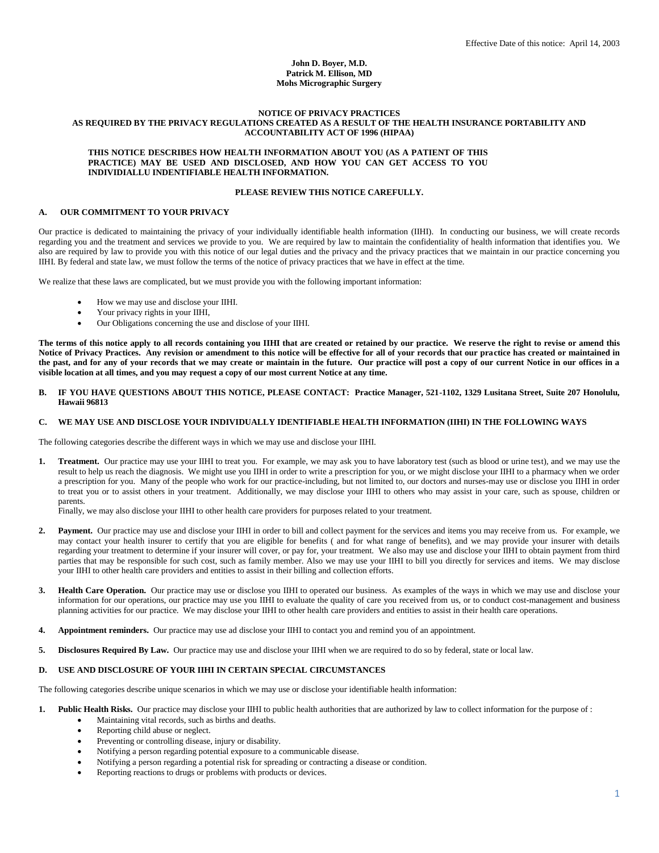### **John D. Boyer, M.D. Patrick M. Ellison, MD Mohs Micrographic Surgery**

#### **NOTICE OF PRIVACY PRACTICES AS REQUIRED BY THE PRIVACY REGULATIONS CREATED AS A RESULT OF THE HEALTH INSURANCE PORTABILITY AND ACCOUNTABILITY ACT OF 1996 (HIPAA)**

#### **THIS NOTICE DESCRIBES HOW HEALTH INFORMATION ABOUT YOU (AS A PATIENT OF THIS PRACTICE) MAY BE USED AND DISCLOSED, AND HOW YOU CAN GET ACCESS TO YOU INDIVIDIALLU INDENTIFIABLE HEALTH INFORMATION.**

### **PLEASE REVIEW THIS NOTICE CAREFULLY.**

## **A. OUR COMMITMENT TO YOUR PRIVACY**

Our practice is dedicated to maintaining the privacy of your individually identifiable health information (IIHI). In conducting our business, we will create records regarding you and the treatment and services we provide to you. We are required by law to maintain the confidentiality of health information that identifies you. We also are required by law to provide you with this notice of our legal duties and the privacy and the privacy practices that we maintain in our practice concerning you IIHI. By federal and state law, we must follow the terms of the notice of privacy practices that we have in effect at the time.

We realize that these laws are complicated, but we must provide you with the following important information:

- How we may use and disclose your IIHI.
- Your privacy rights in your IIHI,
- Our Obligations concerning the use and disclose of your IIHI.

**The terms of this notice apply to all records containing you IIHI that are created or retained by our practice. We reserve the right to revise or amend this Notice of Privacy Practices. Any revision or amendment to this notice will be effective for all of your records that our practice has created or maintained in the past, and for any of your records that we may create or maintain in the future. Our practice will post a copy of our current Notice in our offices in a visible location at all times, and you may request a copy of our most current Notice at any time.**

**B. IF YOU HAVE QUESTIONS ABOUT THIS NOTICE, PLEASE CONTACT: Practice Manager, 521-1102, 1329 Lusitana Street, Suite 207 Honolulu, Hawaii 96813**

## **C. WE MAY USE AND DISCLOSE YOUR INDIVIDUALLY IDENTIFIABLE HEALTH INFORMATION (IIHI) IN THE FOLLOWING WAYS**

The following categories describe the different ways in which we may use and disclose your IIHI.

**1. Treatment.** Our practice may use your IIHI to treat you. For example, we may ask you to have laboratory test (such as blood or urine test), and we may use the result to help us reach the diagnosis. We might use you IIHI in order to write a prescription for you, or we might disclose your IIHI to a pharmacy when we order a prescription for you. Many of the people who work for our practice-including, but not limited to, our doctors and nurses-may use or disclose you IIHI in order to treat you or to assist others in your treatment. Additionally, we may disclose your IIHI to others who may assist in your care, such as spouse, children or parents.

Finally, we may also disclose your IIHI to other health care providers for purposes related to your treatment.

- **2. Payment.** Our practice may use and disclose your IIHI in order to bill and collect payment for the services and items you may receive from us. For example, we may contact your health insurer to certify that you are eligible for benefits ( and for what range of benefits), and we may provide your insurer with details regarding your treatment to determine if your insurer will cover, or pay for, your treatment. We also may use and disclose your IIHI to obtain payment from third parties that may be responsible for such cost, such as family member. Also we may use your IIHI to bill you directly for services and items. We may disclose your IIHI to other health care providers and entities to assist in their billing and collection efforts.
- **3. Health Care Operation.** Our practice may use or disclose you IIHI to operated our business. As examples of the ways in which we may use and disclose your information for our operations, our practice may use you IIHI to evaluate the quality of care you received from us, or to conduct cost-management and business planning activities for our practice. We may disclose your IIHI to other health care providers and entities to assist in their health care operations.
- **4. Appointment reminders.** Our practice may use ad disclose your IIHI to contact you and remind you of an appointment.
- **5. Disclosures Required By Law.** Our practice may use and disclose your IIHI when we are required to do so by federal, state or local law.

# **D. USE AND DISCLOSURE OF YOUR IIHI IN CERTAIN SPECIAL CIRCUMSTANCES**

The following categories describe unique scenarios in which we may use or disclose your identifiable health information:

- **1.** Public Health Risks. Our practice may disclose your IIHI to public health authorities that are authorized by law to collect information for the purpose of : Maintaining vital records, such as births and deaths.
	- Reporting child abuse or neglect.
	- Preventing or controlling disease, injury or disability.
	- Notifying a person regarding potential exposure to a communicable disease.
	- Notifying a person regarding a potential risk for spreading or contracting a disease or condition.
	- Reporting reactions to drugs or problems with products or devices.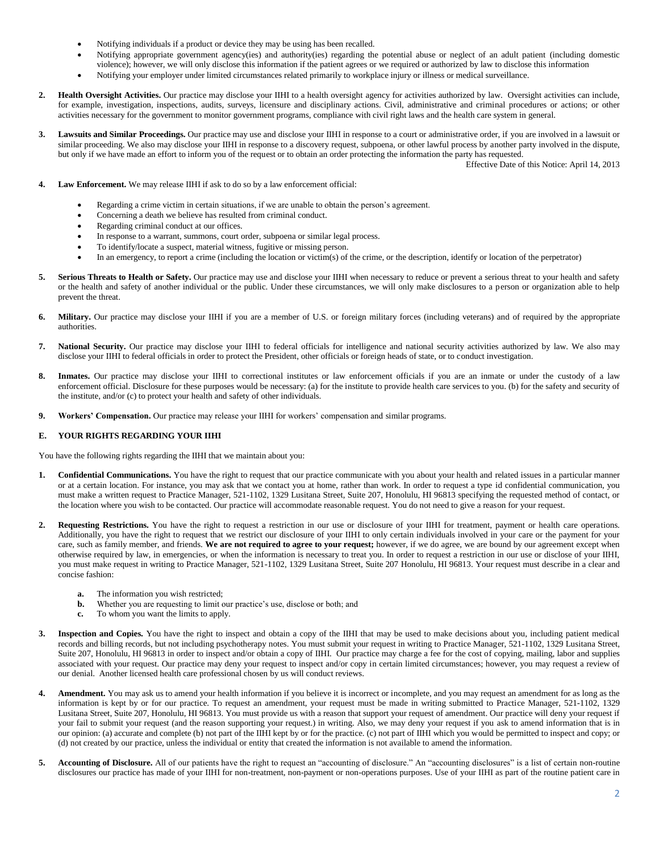- Notifying individuals if a product or device they may be using has been recalled.
- Notifying appropriate government agency(ies) and authority(ies) regarding the potential abuse or neglect of an adult patient (including domestic violence); however, we will only disclose this information if the patient agrees or we required or authorized by law to disclose this information
- Notifying your employer under limited circumstances related primarily to workplace injury or illness or medical surveillance.
- 2. Health Oversight Activities. Our practice may disclose your IIHI to a health oversight agency for activities authorized by law. Oversight activities can include, for example, investigation, inspections, audits, surveys, licensure and disciplinary actions. Civil, administrative and criminal procedures or actions; or other activities necessary for the government to monitor government programs, compliance with civil right laws and the health care system in general.
- **3. Lawsuits and Similar Proceedings.** Our practice may use and disclose your IIHI in response to a court or administrative order, if you are involved in a lawsuit or similar proceeding. We also may disclose your IIHI in response to a discovery request, subpoena, or other lawful process by another party involved in the dispute, but only if we have made an effort to inform you of the request or to obtain an order protecting the information the party has requested.

Effective Date of this Notice: April 14, 2013

- **4. Law Enforcement.** We may release IIHI if ask to do so by a law enforcement official:
	- Regarding a crime victim in certain situations, if we are unable to obtain the person's agreement.
	- Concerning a death we believe has resulted from criminal conduct.
	- Regarding criminal conduct at our offices.
	- In response to a warrant, summons, court order, subpoena or similar legal process.
	- To identify/locate a suspect, material witness, fugitive or missing person.
	- In an emergency, to report a crime (including the location or victim(s) of the crime, or the description, identify or location of the perpetrator)
- 5. Serious Threats to Health or Safety. Our practice may use and disclose your IIHI when necessary to reduce or prevent a serious threat to your health and safety or the health and safety of another individual or the public. Under these circumstances, we will only make disclosures to a person or organization able to help prevent the threat.
- **6. Military.** Our practice may disclose your IIHI if you are a member of U.S. or foreign military forces (including veterans) and of required by the appropriate authorities.
- **7. National Security.** Our practice may disclose your IIHI to federal officials for intelligence and national security activities authorized by law. We also may disclose your IIHI to federal officials in order to protect the President, other officials or foreign heads of state, or to conduct investigation.
- **8. Inmates.** Our practice may disclose your IIHI to correctional institutes or law enforcement officials if you are an inmate or under the custody of a law enforcement official. Disclosure for these purposes would be necessary: (a) for the institute to provide health care services to you. (b) for the safety and security of the institute, and/or (c) to protect your health and safety of other individuals.
- **9. Workers' Compensation.** Our practice may release your IIHI for workers' compensation and similar programs.

#### **E. YOUR RIGHTS REGARDING YOUR IIHI**

You have the following rights regarding the IIHI that we maintain about you:

- **1. Confidential Communications.** You have the right to request that our practice communicate with you about your health and related issues in a particular manner or at a certain location. For instance, you may ask that we contact you at home, rather than work. In order to request a type id confidential communication, you must make a written request to Practice Manager, 521-1102, 1329 Lusitana Street, Suite 207, Honolulu, HI 96813 specifying the requested method of contact, or the location where you wish to be contacted. Our practice will accommodate reasonable request. You do not need to give a reason for your request.
- **2. Requesting Restrictions.** You have the right to request a restriction in our use or disclosure of your IIHI for treatment, payment or health care operations. Additionally, you have the right to request that we restrict our disclosure of your IIHI to only certain individuals involved in your care or the payment for your care, such as family member, and friends. **We are not required to agree to your request;** however, if we do agree, we are bound by our agreement except when otherwise required by law, in emergencies, or when the information is necessary to treat you. In order to request a restriction in our use or disclose of your IIHI, you must make request in writing to Practice Manager, 521-1102, 1329 Lusitana Street, Suite 207 Honolulu, HI 96813. Your request must describe in a clear and concise fashion:
	- **a.** The information you wish restricted;<br>**h.** Whether you are requesting to limit of
	- Whether you are requesting to limit our practice's use, disclose or both; and
	- **c.** To whom you want the limits to apply.
- **3. Inspection and Copies.** You have the right to inspect and obtain a copy of the IIHI that may be used to make decisions about you, including patient medical records and billing records, but not including psychotherapy notes. You must submit your request in writing to Practice Manager, 521-1102, 1329 Lusitana Street, Suite 207, Honolulu, HI 96813 in order to inspect and/or obtain a copy of IIHI. Our practice may charge a fee for the cost of copying, mailing, labor and supplies associated with your request. Our practice may deny your request to inspect and/or copy in certain limited circumstances; however, you may request a review of our denial. Another licensed health care professional chosen by us will conduct reviews.
- **4. Amendment.** You may ask us to amend your health information if you believe it is incorrect or incomplete, and you may request an amendment for as long as the information is kept by or for our practice. To request an amendment, your request must be made in writing submitted to Practice Manager, 521-1102, 1329 Lusitana Street, Suite 207, Honolulu, HI 96813. You must provide us with a reason that support your request of amendment. Our practice will deny your request if your fail to submit your request (and the reason supporting your request.) in writing. Also, we may deny your request if you ask to amend information that is in our opinion: (a) accurate and complete (b) not part of the IIHI kept by or for the practice. (c) not part of IIHI which you would be permitted to inspect and copy; or (d) not created by our practice, unless the individual or entity that created the information is not available to amend the information.
- 5. Accounting of Disclosure. All of our patients have the right to request an "accounting of disclosure." An "accounting disclosures" is a list of certain non-routine disclosures our practice has made of your IIHI for non-treatment, non-payment or non-operations purposes. Use of your IIHI as part of the routine patient care in